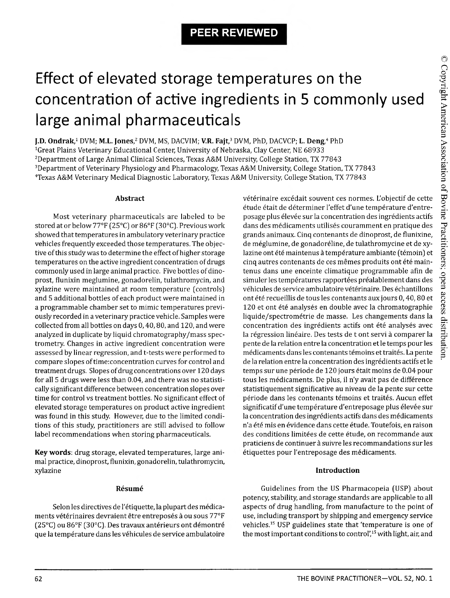## **PEER REVIEWED**

# Effect of elevated storage temperatures on the concentration of active ingredients in 5 commonly used large animal pharmaceuticals

**J.D. Ondrak**,<sup>1</sup> DVM; **M.L. Jones**,<sup>2</sup> DVM, MS, DACVIM; **V.R. Fajt**,<sup>3</sup> DVM, PhD, DACVCP; **L. Deng**,<sup>4</sup> PhD <sup>1</sup>Great Plains Veterinary Educational Center, University of Nebraska, Clay Center, NE 68933 <sup>2</sup>Department of Large Animal Clinical Sciences, Texas A&M University, College Station, TX 77843 <sup>3</sup>Department of Veterinary Physiology and Pharmacology, Texas A&M University, College Station, TX 77843 4Texas A&M Veterinary Medical Diagnostic Laboratory, Texas A&M University, College Station, TX 77843

#### **Abstract**

Most veterinary pharmaceuticals are labeled to be stored at or below 77°F (25°C) or 86°F (30°C). Previous work showed that temperatures in ambulatory veterinary practice vehicles frequently exceeded those temperatures. The objective of this study was to determine the effect of higher storage temperatures on the active ingredient concentration of drugs commonly used in large animal practice. Five bottles of dinoprost, flunixin meglumine, gonadorelin, tulathromycin, and xylazine were maintained at room temperature (controls) and 5 additional bottles of each product were maintained in a programmable chamber set to mimic temperatures previously recorded in a veterinary practice vehicle. Samples were collected from all bottles on days 0,40,80, and 120, and were analyzed in duplicate by liquid chromatography/mass spectrometry. Changes in active ingredient concentration were assessed by linear regression, and t-tests were performed to compare slopes of time:concentration curves for control and treatment drugs. Slopes of drug concentrations over 120 days for all 5 drugs were less than 0.04, and there was no statistically significant difference between concentration slopes over time for control vs treatment bottles. No significant effect of elevated storage temperatures on product active ingredient was found in this study. However, due to the limited conditions of this study, practitioners are still advised to follow label recommendations when storing pharmaceuticals.

**Key words:** drug storage, elevated temperatures, large animal practice, dinoprost, flunixin, gonadorelin, tulathromycin, xylazine

#### **Resume**

Selon les directives de l'étiquette, la plupart des médicaments vétérinaires devraient être entreposés à ou sous 77°F (25°C) ou 86°F (30°C). Des travaux antérieurs ont démontré que la température dans les véhicules de service ambulatoire vétérinaire excédait souvent ces normes. L'objectif de cette étude était de déterminer l'effet d'une température d'entreposage plus elevee sur la concentration des ingredients actifs dans des médicaments utilisés couramment en pratique des grands animaux. Cinq contenants de dinoprost, de flunixine, de meglumine, de gonadoreline, de tulathromycine et de xylazine ont été maintenus à température ambiante (témoin) et cinq autres contenants de ces mêmes produits ont été maintenus dans une enceinte climatique programmable afin de simuler les températures rapportées préalablement dans des véhicules de service ambulatoire vétérinaire. Des échantillons ont été recueillis de tous les contenants aux jours 0, 40, 80 et 120 et ont été analysés en double avec la chromatographie liquide/spectrometrie de masse. Les changements dans la concentration des ingrédients actifs ont été analysés avec la régression linéaire. Des tests de t ont servi à comparer la pente de la relation entre la concentration et le temps pour les médicaments dans les contenants témoins et traités. La pente de la relation entre la concentration des ingredients actifs et le temps sur une période de 120 jours était moins de 0.04 pour tous les medicaments. De plus, il n'y avait pas de difference statistiquement significative au niveau de la pente sur cette période dans les contenants témoins et traités. Aucun effet significatif d'une température d'entreposage plus élevée sur la concentration des ingrédients actifs dans des médicaments n'a été mis en évidence dans cette étude. Toutefois, en raison des conditions limitées de cette étude, on recommande aux praticiens de continuer à suivre les recommandations sur les étiquettes pour l'entreposage des médicaments.

#### **Introduction**

Guidelines from the US Pharmacopeia (USP) about potency, stability, and storage standards are applicable to all aspects of drug handling, from manufacture to the point of use, including transport by shipping and emergency service vehicles.15 USP guidelines state that 'temperature is one of the most important conditions to control',15 with light, air, and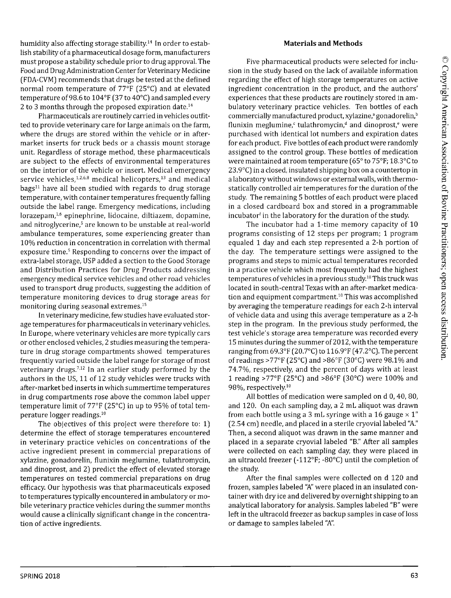humidity also affecting storage stability.14 In order to establish stability of a pharmaceutical dosage form, manufacturers must propose a stability schedule prior to drug approval. The Food and Drug Administration Center for Veterinary Medicine (FDA-CVM) recommends that drugs be tested at the defined normal room temperature of 77°F (25°C) and at elevated temperature of 98.6 to 104°F (37 to 40°C) and sampled every 2 to 3 months through the proposed expiration date.14

Pharmaceuticals are routinely carried in vehicles outfitted to provide veterinary care for large animals on the farm, where the drugs are stored within the vehicle or in aftermarket inserts for truck beds or a chassis mount storage unit. Regardless of storage method, these pharmaceuticals are subject to the effects of environmental temperatures on the interior of the vehicle or insert. Medical emergency service vehicles,  $1,2,6,8$  medical helicopters,  $13$  and medical  $bags<sup>11</sup>$  have all been studied with regards to drug storage temperature, with container temperatures frequently falling outside the label range. Emergency medications, including lorazepam,1,6 epinephrine, lidocaine, diltiazem, dopamine, and nitroglycerine,<sup>5</sup> are known to be unstable at real-world ambulance temperatures, some experiencing greater than 10% reduction in concentration in correlation with thermal exposure time.<sup>5</sup> Responding to concerns over the impact of extra-label storage, USP added a section to the Good Storage and Distribution Practices for Drug Products addressing emergency medical service vehicles and other road vehicles used to transport drug products, suggesting the addition of temperature monitoring devices to drug storage areas for monitoring during seasonal extremes.15

In veterinary medicine, few studies have evaluated storage temperatures for pharmaceuticals in veterinary vehicles. In Europe, where veterinary vehicles are more typically cars or other enclosed vehicles, 2 studies measuring the temperature in drug storage compartments showed temperatures frequently varied outside the label range for storage of most veterinary drugs.7,12 In an earlier study performed by the authors in the US, 11 of 12 study vehicles were trucks with after-market bed inserts in which summertime temperatures in drug compartments rose above the common label upper temperature limit of 77°F (25°C) in up to 95% of total temperature logger readings.10

The objectives of this project were therefore to: 1) determine the effect of storage temperatures encountered in veterinary practice vehicles on concentrations of the active ingredient present in commercial preparations of xylazine, gonadorelin, flunixin meglumine, tulathromycin, and dinoprost, and 2) predict the effect of elevated storage temperatures on tested commercial preparations on drug efficacy. Our hypothesis was that pharmaceuticals exposed to temperatures typically encountered in ambulatory or mobile veterinary practice vehicles during the summer months would cause a clinically significant change in the concentration of active ingredients.

#### **Materials and Methods**

Five pharmaceutical products were selected for inclusion in the study based on the lack of available information regarding the effect of high storage temperatures on active ingredient concentration in the product, and the authors' experiences that these products are routinely stored in ambulatory veterinary practice vehicles. Ten bottles of each commercially manufactured product, xylazine,<sup>3</sup> gonadorelin,<sup>b</sup> flunixin meglumine, $\epsilon$  tulathromycin,<sup>d</sup> and dinoprost,<sup>e</sup> were purchased with identical lot numbers and expiration dates for each product. Five bottles of each product were randomly assigned to the control group. These bottles of medication were maintained at room temperature (65° to 75°F; 18.3°C to 23.9°C) in a closed, insulated shipping box on a countertop in a laboratory without windows or external walls, with thermostatically controlled air temperatures for the duration of the study. The remaining 5 bottles of each product were placed in a closed cardboard box and stored in a programmable incubator<sup>f</sup> in the laboratory for the duration of the study.

The incubator had a 1-time memory capacity of 10 programs consisting of 12 steps per program; 1 program equaled 1 day and each step represented a 2-h portion of the day. The temperature settings were assigned to the programs and steps to mimic actual temperatures recorded in a practice vehicle which most frequently had the highest temperatures of vehicles in a previous study.<sup>10</sup> This truck was located in south-central Texas with an after-market medication and equipment compartment.<sup>10</sup> This was accomplished by averaging the temperature readings for each 2-h interval of vehicle data and using this average temperature as a 2-h step in the program. In the previous study performed, the test vehicle's storage area temperature was recorded every 15 minutes during the summer of 2012, with the temperature ranging from 69.3°F (20.7°C) to 116.9°F (47.2°C). The percent of readings >77°F (25°C) and >86°F (30°C) were 98.1% and 74.7%, respectively, and the percent of days with at least 1 reading >77°F (25°C) and >86°F (30°C) were 100% and 98%, respectively.10

All bottles of medication were sampled on d 0, 40, 80, and 120. On each sampling day, a 2 mL aliquot was drawn from each bottle using a 3 mL syringe with a 16 gauge  $\times$  1" (2.54 cm) needle, and placed in a sterile cryovial labeled *"A."* Then, a second aliquot was drawn in the same manner and placed in a separate cryovial labeled "B." After all samples were collected on each sampling day, they were placed in an ultracold freezer (-112°F; -80°C) until the completion of the study.

After the final samples were collected on d 120 and frozen, samples labeled "A" were placed in an insulated container with dry ice and delivered by overnight shipping to an analytical laboratory for analysis. Samples labeled "B" were left in the ultracold freezer as backup samples in case of loss or damage to samples labeled "A".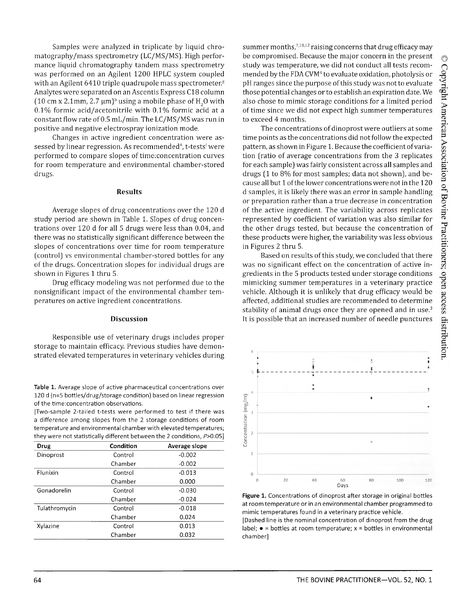Samples were analyzed in triplicate by liquid chromatography/mass spectrometry (LC/MS/MS). High performance liquid chromatography tandem mass spectrometry was performed on an Agilent 1200 HPLC system coupled with an Agilent 6410 triple quadrupole mass spectrometer.8 Analytes were separated on an Ascentis Express C18 column (10 cm x 2.1mm, 2.7  $\mu$ m)<sup>h</sup> using a mobile phase of H<sub>2</sub>O with 0.1% formic acid/acetonitrile with 0.1% formic acid at a constant flowrate of 0.5 mL/min. The LC/MS/MS was run in positive and negative electrospray ionization mode.

Changes in active ingredient concentration were assessed by linear regression. As recommended<sup>4</sup>, t-tests<sup>i</sup> were performed to compare slopes of time:concentration curves for room temperature and environmental chamber-stored drugs.

#### **Results**

Average slopes of drug concentrations over the 120 d study period are shown in Table 1. Slopes of drug concentrations over 120 d for all 5 drugs were less than 0.04, and there was no statistically significant difference between the slopes of concentrations over time for room temperature (control) vs environmental chamber-stored bottles for any of the drugs. Concentration slopes for individual drugs are shown in Figures 1 thru 5.

Drug efficacy modeling was not performed due to the nonsignificant impact of the environmental chamber temperatures on active ingredient concentrations.

#### **Discussion**

Responsible use of veterinary drugs includes proper storage to maintain efficacy. Previous studies have demonstrated elevated temperatures in veterinary vehicles during

**Table 1.** Average slope of active pharmaceutical concentrations over 120 d (n=5 bottles/drug/storage condition) based on linear regression of the time:concentration observations.

[Two-sample 2-tailed t-tests were performed to test if there was a difference among slopes from the 2 storage conditions of room temperature and environmental chamber with elevated temperatures; they were not statistically different between the 2 conditions, P>0.05]

| <b>Drug</b>   | Condition | Average slope |
|---------------|-----------|---------------|
| Dinoprost     | Control   | $-0.002$      |
|               | Chamber   | $-0.002$      |
| Flunixin      | Control   | $-0.013$      |
|               | Chamber   | 0.000         |
| Gonadorelin   | Control   | $-0.030$      |
|               | Chamber   | $-0.024$      |
| Tulathromycin | Control   | $-0.018$      |
|               | Chamber   | 0.024         |
| Xylazine      | Control   | 0.013         |
|               | Chamber   | 0.032         |

summer months, $7,10,12$  raising concerns that drug efficacy may be compromised. Because the major concern in the present study was temperature, we did not conduct all tests recommended by the FDA CVM4 to evaluate oxidation, photolysis or pH ranges since the purpose of this study was not to evaluate those potential changes or to establish an expiration date. We also chose to mimic storage conditions for a limited period of time since we did not expect high summer temperatures to exceed 4 months.

The concentrations of dinoprost were outliers at some time points as the concentrations did not follow the expected pattern, as shown in Figure 1. Because the coefficient of variation (ratio of average concentrations from the 3 replicates for each sample) was fairly consistent across all samples and drugs (1 to 8% for most samples; data not shown), and because all but 1 of the lower concentrations were not in the 120 d samples, it is likely there was an error in sample handling or preparation rather than a true decrease in concentration of the active ingredient. The variability across replicates represented by coefficient of variation was also similar for the other drugs tested, but because the concentration of these products were higher, the variability was less obvious in Figures 2 thru 5.

Based on results of this study, we concluded that there was no significant effect on the concentration of active ingredients in the 5 products tested under storage conditions mimicking summer temperatures in a veterinary practice vehicle. Although it is unlikely that drug efficacy would be affected, additional studies are recommended to determine stability of animal drugs once they are opened and in use.<sup>3</sup> It is possible that an increased number of needle punctures



**Figure 1.** Concentrations of dinoprost after storage in original bottles at room temperature or in an environmental chamber programmed to mimic temperatures found in a veterinary practice vehicle.

[Dashed line is the nominal concentration of dinoprost from the drug label;  $\bullet$  = bottles at room temperature;  $x =$  bottles in environmental chamber]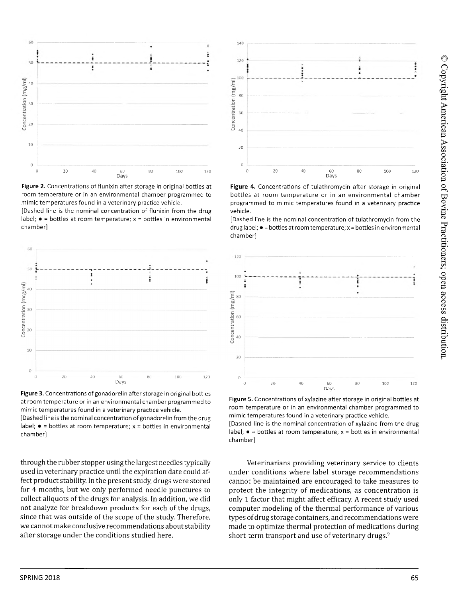

Figure 2. Concentrations of flunixin after storage in original bottles at room temperature or in an environmental chamber programmed to mimic temperatures found in a veterinary practice vehicle.

[Dashed line is the nominal concentration of flunixin from the drug label;  $\bullet$  = bottles at room temperature;  $x =$  bottles in environmental chamber]





[Dashed line is the nominal concentration of gonadorelin from the drug label;  $\bullet$  = bottles at room temperature;  $x =$  bottles in environmental chamber]

through the rubber stopper using the largest needles typically used in veterinary practice until the expiration date could affect product stability. In the present study, drugs were stored for 4 months, but we only performed needle punctures to collect aliquots of the drugs for analysis. In addition, we did not analyze for breakdown products for each of the drugs, since that was outside of the scope of the study. Therefore, we cannot make conclusive recommendations about stability after storage under the conditions studied here.



Figure 4. Concentrations of tulathromycin after storage in original bottles at room temperature or in an environmental chamber programmed to mimic temperatures found in a veterinary practice vehicle.

[Dashed line is the nominal concentration of tulathromycin from the drug label;  $\bullet$  = bottles at room temperature; x = bottles in environmental chamber]



Figure 5. Concentrations of xylazine after storage in original bottles at room temperature or in an environmental chamber programmed to mimic temperatures found in a veterinary practice vehicle.

[Dashed line is the nominal concentration of xylazine from the drug label;  $\bullet$  = bottles at room temperature;  $x =$  bottles in environmental chamber]

Veterinarians providing veterinary service to clients under conditions where label storage recommendations cannot be maintained are encouraged to take measures to protect the integrity of medications, as concentration is only 1 factor that might affect efficacy. A recent study used computer modeling of the thermal performance of various types of drug storage containers, and recommendations were made to optimize thermal protection of medications during short-term transport and use of veterinary drugs.<sup>9</sup>